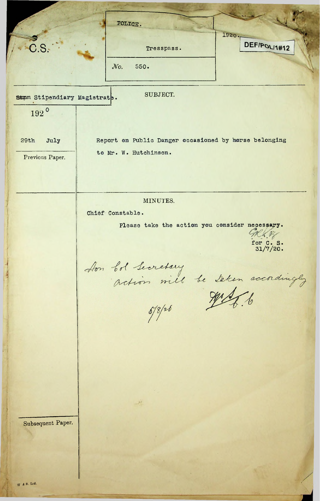POLICE. 1920 \_ DEF/POLI1#12 Tresspass. JVb. 550. SUBJECT. 192°29th July Report on Public Danger occasioned by horse belonging to Mr. W. Hutchinson. Previous Paper. MINUTES. Chief Constable. Please take the action you consider necessary. TRK 13 for C. S. 31/7/20. Aon bol Lecretary<br>action mill be taken accordingly Subsequent Paper.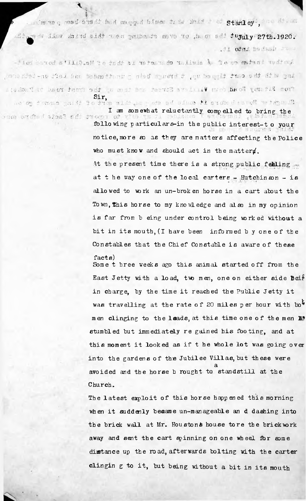. month of med sish had magged binor the shid i of stanley. And died Aring sidd wen pathawta move to them sed tujuly 27th.1920. . .ti otni bodasb ra u

 $\mathbb{R}$ 

**<sup>h</sup> <sup>J</sup> -,'i 'j <sup>1</sup> .i !? r?** .Z\*:.o ? •i Fit  $m$  , he ad, den Villiam's Street and them up the front *\* **'<sup>15</sup> • '<sup>O</sup> "I: '.I'-.: -V.** *<sup>r</sup> . -■> tf. ■:* ' ; </' ' '3 Sir,

a Dob't iba fatosi a di del pro notice, more so as they are matters affecting the Police I am somewhat reluctantly compelled to bring the following particulars-in the public interest-t <sup>o</sup> your

> who must know and should act in the mattery. allowed to work an un-broken horse in a cart about the Town, This horse to my knowledge and also in my opinion is far from <sup>b</sup> eing under control being worked without <sup>a</sup> bit in its mouth, (I have been informed <sup>b</sup> <sup>y</sup> one of the Constables that the Chief Constable is aware of these facts) At the present time there is a strong public febling ... at the way one of the local carters - Hutchinson - is

East Jetty with a load, two men, one on either side Beif in charge, by the time it reached the Public Jetty it this moment it looked as if the whole lot was going over Church. into the gardens of the Jubilee Villas, but these were a avoided and the horse <sup>b</sup> rought to standstill at the Some t bree weeks ago this animal started off from the was travelling at the rate of 20 miles per hour with bo<sup>4</sup> men clinging to the leads, at this time one of the men E? stumbled but immediately re gained his footing, and at

The latest exploit of this horse happened this morning when it suddenly became un-manageable an d dashing into the brick wall at Mr. Houstons house tore the brick work away and sent the cart spinning on one wheel for some distance up the road, afterwards bolting with the carter clingin g to it, but being without a bit in its mouth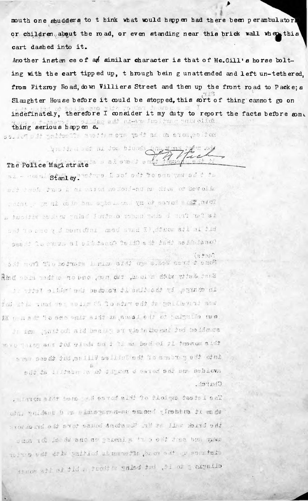mouth one shudders to t hink what would happen had there been perambulatorl or children, about the mad, or even standing near this brick wall when this cart dashed into it.

Another instan ce of an similar character is that of Mc. Gill's horse bolting with the cart tipped up, t hrough bein g unattended and left un-tethered. from Fitzroy Road, down Villiers Street and then up the front road to Packe; s Slaughter House before it could be stopped, this sort of thing cannot go on indefinately, therefore I consider it my duty to report the facts before some following particular and the gul thing serious happen s.

noticale as as they are nitrent control in the thirt of

An in a sur an ion blueda Ang yang iga .org The Police Magistrate and all substituted

al - Home Stanley Tedros Doof ont to sho gav sd t to alleved to wit an un-broi he heast is cart the city Total where to my hand to be adjoint of an in which is not a is far from b chan had infrate control being which without a but in its month, (I have been informed by one of the easid lo cuso al situtano? Teld? ed tadd asit iano?  $(x, y, z, z)$ 

off nori Tio botteta ismina aidi oga a.sev estd d emo? Eist Jetty with a load, two men, one or orther side bain in charge, by the line it remember the "white fetty it fou this two we welth do to son edd in gallerial and as the climation to the Leves at this time one of the month st bnn gait och ald benist at viete besmit fod beldsuta move manog and fol glode od i li an bedool fi fusuaem a idf into the growns of the fuller villes with the but these were sud ta infaber a of figure d saiod ser um bebion Church.

. alaron and bers will bared aid to thoight testal sal who rident stand by the un-numgeometry and the under under the brick will at Mr. Webstehnd bouse to re the hunders sma id leedw ano no ghannig '' a odd dhea bea vaws sistance we the road, afterwards baiting with the corter clingis g to it, but being witcot a bit is found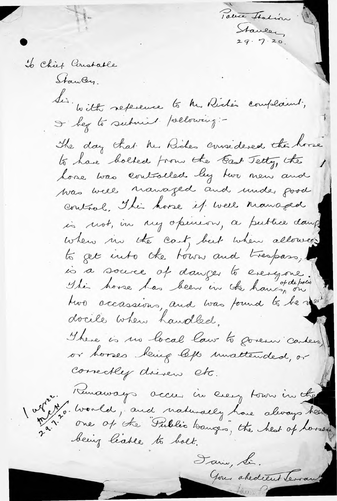Stanley To Chief Constable Stawley. With reference to the Riche's complaint, I beg to submit pollowing :-The day that he Riches considered the horse to have bolled from the East Tetty, the home was controlled by how new and was well managed and under good control. This hoose if well managed is not, in my openion, a publice dang when in the cart, but when allowed to get into the town and trespass, is à source of danger to everyone. two accassions, and was found to be next docile when handled. There is no local law to govern carters) or horses being left unattended, or Correctly dieven etc. Kunaways accus in every town in the 20. World, and naturally have always heed one of the Public banges, the heat of horses. being leave to bolt. Jan, Si. Your abedient lerrow

Parice Station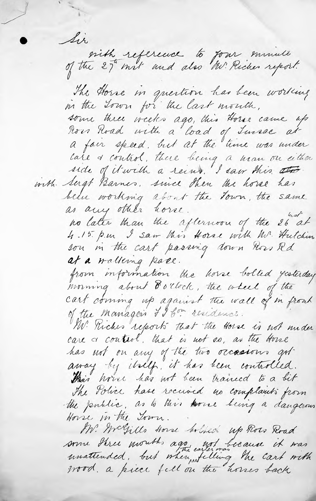Sir sith reference to four minute The Horse in question has been working some three weeks ago, this Horse came up now Hoad with a load of Lunac at a fair speed, but at the time was under care & control, there being a wan on either side of it with a reins. I saw this also. with Sugt Barnes, since then the horse has been working about the Town, the same as any other horse. no later than the afternoon of the 26 at<br>4.15 p.m I saw this Horse with Mr. Hutchin. son in the cart passing down rives red at a walleing pace. from information the horse bolted yesterday morning about 8 o'clock, the wheel of the cart coming up against the wall of m front of the managers II bon residence. Mr. Kiches reports that the Horse is not under care a control. that is not so, as the touse has not on any of the two occasions got The Police have received no complaints from<br>the public, as to this twore being a dangerous Horse in the Town. M. Welfills Horse bolded up Por Road some stree mouth ago and because it was wood a piece fell on the houses back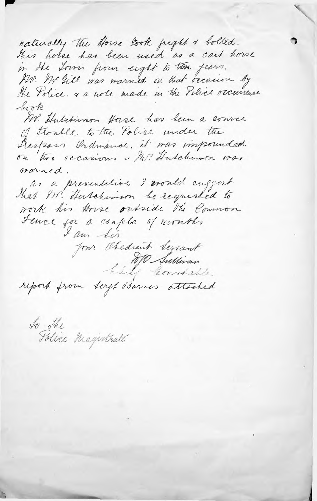naturally the Horse Gook fright & bolled. this holse has been used as a cart home in the Town from eight to ten fears. Av. Me gill was warned on that occasion by The Volice. a a note made in the Police occurrence look AV. Hutchinson Horse has been a source of Frontle to the Police under the Trespos Ordinance, it was impounded on two occasions & Mr. Hutchwar was worned. as a preventitive I would enggest that M. Huschman be requested to work his Arise oudside the Common Fence for a confelic of nonth, for Obedient Serrant Chil Sullivan report from Serft Barnes attached

To The Magistrate